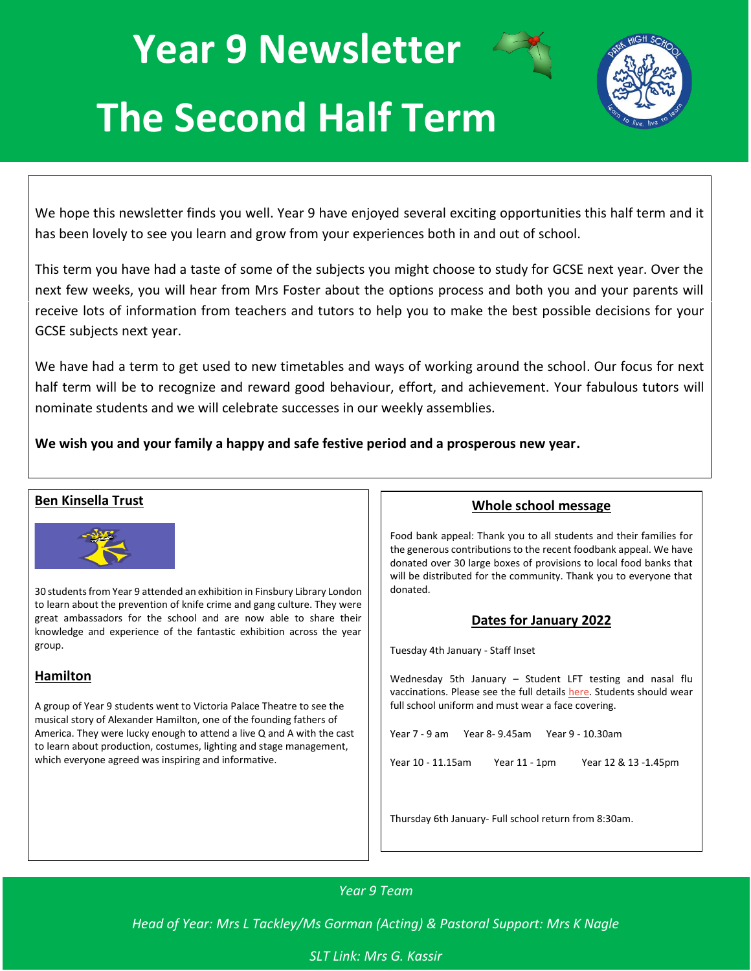# **Year 9 Newsletter**



# **The Second Half Term**

We hope this newsletter finds you well. Year 9 have enjoyed several exciting opportunities this half term and it has been lovely to see you learn and grow from your experiences both in and out of school.

This term you have had a taste of some of the subjects you might choose to study for GCSE next year. Over the next few weeks, you will hear from Mrs Foster about the options process and both you and your parents will receive lots of information from teachers and tutors to help you to make the best possible decisions for your GCSE subjects next year.

We have had a term to get used to new timetables and ways of working around the school. Our focus for next half term will be to recognize and reward good behaviour, effort, and achievement. Your fabulous tutors will nominate students and we will celebrate successes in our weekly assemblies.

**We wish you and your family a happy and safe festive period and a prosperous new year.**

#### **Ben Kinsella Trust** 30 students from Year 9 attended an exhibition in Finsbury Library London to learn about the prevention of knife crime and gang culture. They were great ambassadors for the school and are now able to share their knowledge and experience of the fantastic exhibition across the year group. **Hamilton** A group of Year 9 students went to Victoria Palace Theatre to see the musical story of Alexander Hamilton, one of the founding fathers of America. They were lucky enough to attend a live Q and A with the cast to learn about production, costumes, lighting and stage management, which everyone agreed was inspiring and informative. **Whole school message** Food bank appeal: Thank you to all students and their families for the generous contributions to the recent foodbank appeal. We have donated over 30 large boxes of provisions to local food banks that will be distributed for the community. Thank you to everyone that donated. **Dates for January 2022** Tuesday 4th January - Staff Inset Wednesday 5th January – Student LFT testing and nasal flu vaccinations. Please see the full detail[s here.](https://www.parkhighstanmore.org.uk/_site/data/files/files/95617A296E546AD723D0CA88FFF910F9.pdf) Students should wear full school uniform and must wear a face covering. Year 7 - 9 am Year 8- 9.45am Year 9 - 10.30am Year 10 - 11.15am Year 11 - 1pm Year 12 & 13 -1.45pm Thursday 6th January- Full school return from 8:30am.

## *Year 9 Team*

*Head of Year: Mrs L Tackley/Ms Gorman (Acting) & Pastoral Support: Mrs K Nagle*

### *SLT Link: Mrs G. Kassir*